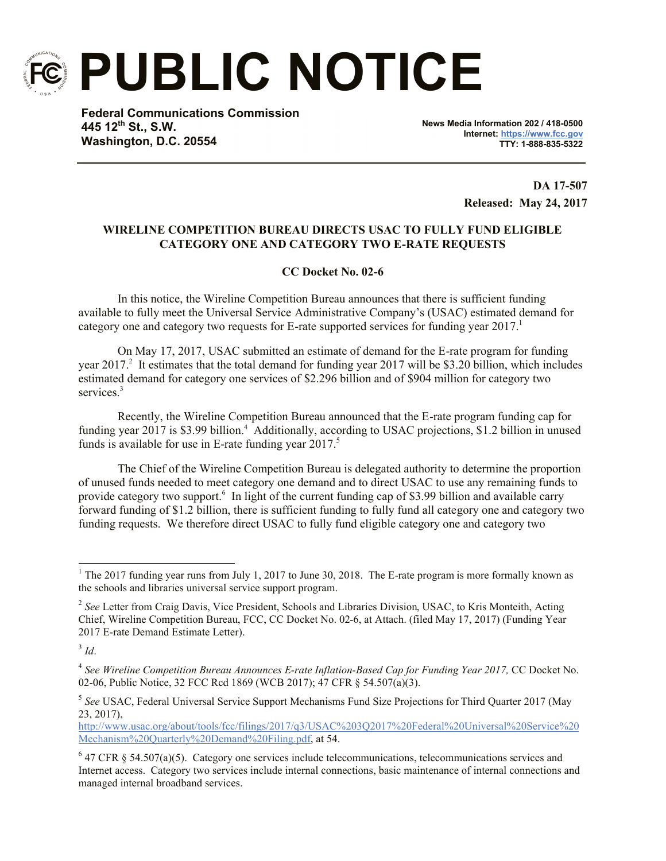

**PUBLIC NOTICE**

**Federal Communications Commission 445 12th St., S.W. Washington, D.C. 20554**

**News Media Information 202 / 418-0500 Internet: https://www.fcc.gov TTY: 1-888-835-5322**

> **DA 17-507 Released: May 24, 2017**

## **WIRELINE COMPETITION BUREAU DIRECTS USAC TO FULLY FUND ELIGIBLE CATEGORY ONE AND CATEGORY TWO E-RATE REQUESTS**

## **CC Docket No. 02-6**

In this notice, the Wireline Competition Bureau announces that there is sufficient funding available to fully meet the Universal Service Administrative Company's (USAC) estimated demand for category one and category two requests for E-rate supported services for funding year  $2017$ .

On May 17, 2017, USAC submitted an estimate of demand for the E-rate program for funding year 2017.<sup>2</sup> It estimates that the total demand for funding year 2017 will be \$3.20 billion, which includes estimated demand for category one services of \$2.296 billion and of \$904 million for category two services<sup>3</sup>

Recently, the Wireline Competition Bureau announced that the E-rate program funding cap for funding year 2017 is \$3.99 billion.<sup>4</sup> Additionally, according to USAC projections, \$1.2 billion in unused funds is available for use in E-rate funding year 2017.<sup>5</sup>

The Chief of the Wireline Competition Bureau is delegated authority to determine the proportion of unused funds needed to meet category one demand and to direct USAC to use any remaining funds to provide category two support.<sup>6</sup> In light of the current funding cap of \$3.99 billion and available carry forward funding of \$1.2 billion, there is sufficient funding to fully fund all category one and category two funding requests. We therefore direct USAC to fully fund eligible category one and category two

http://www.usac.org/about/tools/fcc/filings/2017/q3/USAC%203Q2017%20Federal%20Universal%20Service%20 Mechanism%20Quarterly%20Demand%20Filing.pdf, at 54.

l <sup>1</sup> The 2017 funding year runs from July 1, 2017 to June 30, 2018. The E-rate program is more formally known as the schools and libraries universal service support program.

<sup>&</sup>lt;sup>2</sup> See Letter from Craig Davis, Vice President, Schools and Libraries Division, USAC, to Kris Monteith, Acting Chief, Wireline Competition Bureau, FCC, CC Docket No. 02-6, at Attach. (filed May 17, 2017) (Funding Year 2017 E-rate Demand Estimate Letter).

<sup>3</sup> *Id*.

<sup>&</sup>lt;sup>4</sup> See Wireline Competition Bureau Announces E-rate Inflation-Based Cap for Funding Year 2017, CC Docket No. 02-06, Public Notice, 32 FCC Rcd 1869 (WCB 2017); 47 CFR § 54.507(a)(3).

<sup>5</sup> *See* USAC, Federal Universal Service Support Mechanisms Fund Size Projections for Third Quarter 2017 (May 23, 2017),

 $6$  47 CFR § 54.507(a)(5). Category one services include telecommunications, telecommunications services and Internet access. Category two services include internal connections, basic maintenance of internal connections and managed internal broadband services.